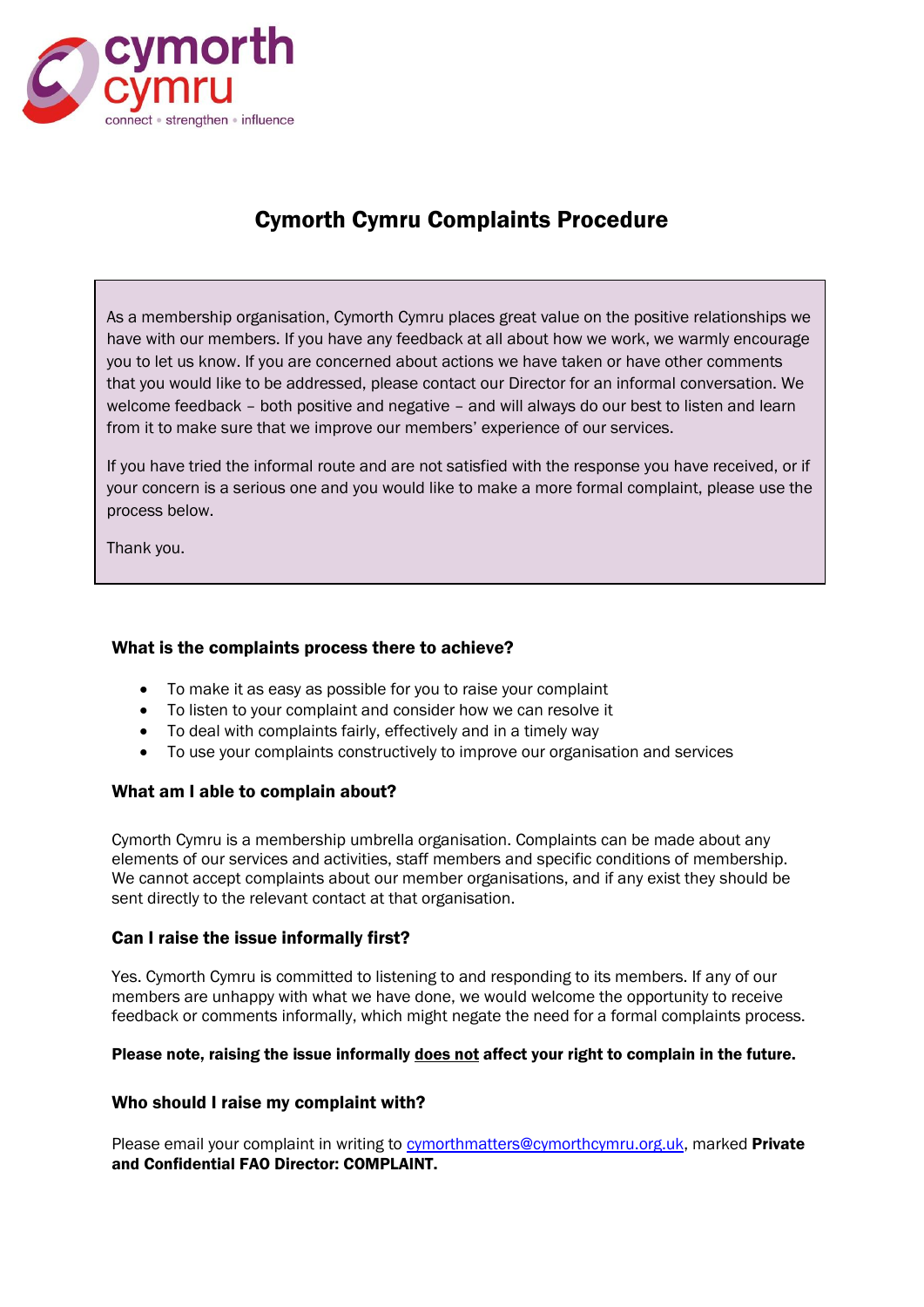

# Cymorth Cymru Complaints Procedure

As a membership organisation, Cymorth Cymru places great value on the positive relationships we have with our members. If you have any feedback at all about how we work, we warmly encourage you to let us know. If you are concerned about actions we have taken or have other comments that you would like to be addressed, please contact our Director for an informal conversation. We welcome feedback – both positive and negative – and will always do our best to listen and learn from it to make sure that we improve our members' experience of our services.

If you have tried the informal route and are not satisfied with the response you have received, or if your concern is a serious one and you would like to make a more formal complaint, please use the process below.

Thank you.

## What is the complaints process there to achieve?

- To make it as easy as possible for you to raise your complaint
- To listen to your complaint and consider how we can resolve it
- To deal with complaints fairly, effectively and in a timely way
- To use your complaints constructively to improve our organisation and services

## What am I able to complain about?

Cymorth Cymru is a membership umbrella organisation. Complaints can be made about any elements of our services and activities, staff members and specific conditions of membership. We cannot accept complaints about our member organisations, and if any exist they should be sent directly to the relevant contact at that organisation.

## Can I raise the issue informally first?

Yes. Cymorth Cymru is committed to listening to and responding to its members. If any of our members are unhappy with what we have done, we would welcome the opportunity to receive feedback or comments informally, which might negate the need for a formal complaints process.

#### Please note, raising the issue informally does not affect your right to complain in the future.

## Who should I raise my complaint with?

Please email your complaint in writing to [cymorthmatters@cymorthcymru.org.uk,](mailto:cymorthmatters@cymorthcymru.org.uk) marked Private and Confidential FAO Director: COMPLAINT.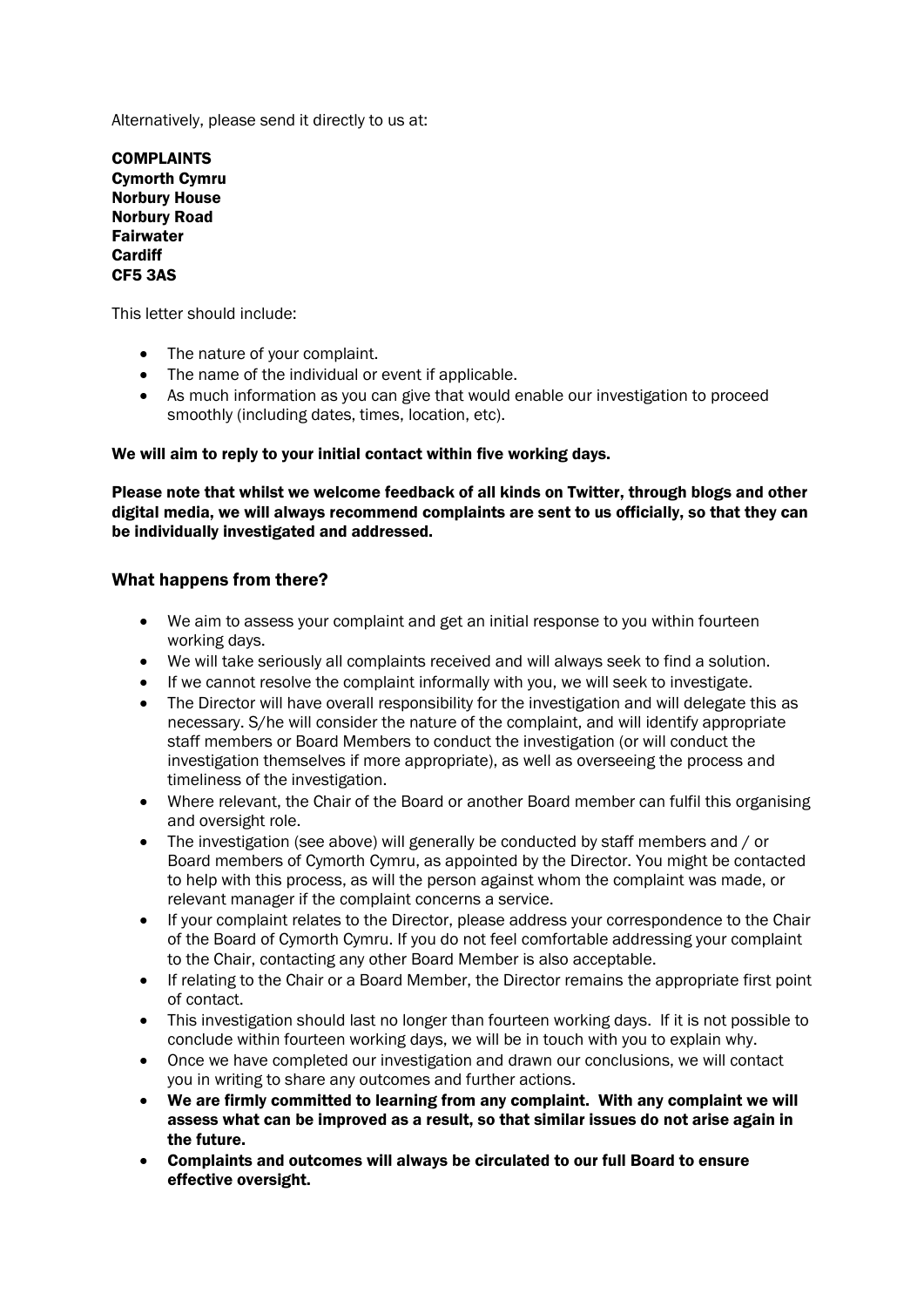Alternatively, please send it directly to us at:

COMPLAINTS Cymorth Cymru Norbury House Norbury Road Fairwater **Cardiff** CF5 3AS

This letter should include:

- The nature of your complaint.
- The name of the individual or event if applicable.
- As much information as you can give that would enable our investigation to proceed smoothly (including dates, times, location, etc).

#### We will aim to reply to your initial contact within five working days.

Please note that whilst we welcome feedback of all kinds on Twitter, through blogs and other digital media, we will always recommend complaints are sent to us officially, so that they can be individually investigated and addressed.

## What happens from there?

- We aim to assess your complaint and get an initial response to you within fourteen working days.
- We will take seriously all complaints received and will always seek to find a solution.
- If we cannot resolve the complaint informally with you, we will seek to investigate.
- The Director will have overall responsibility for the investigation and will delegate this as necessary. S/he will consider the nature of the complaint, and will identify appropriate staff members or Board Members to conduct the investigation (or will conduct the investigation themselves if more appropriate), as well as overseeing the process and timeliness of the investigation.
- Where relevant, the Chair of the Board or another Board member can fulfil this organising and oversight role.
- The investigation (see above) will generally be conducted by staff members and / or Board members of Cymorth Cymru, as appointed by the Director. You might be contacted to help with this process, as will the person against whom the complaint was made, or relevant manager if the complaint concerns a service.
- If your complaint relates to the Director, please address your correspondence to the Chair of the Board of Cymorth Cymru. If you do not feel comfortable addressing your complaint to the Chair, contacting any other Board Member is also acceptable.
- If relating to the Chair or a Board Member, the Director remains the appropriate first point of contact.
- This investigation should last no longer than fourteen working days. If it is not possible to conclude within fourteen working days, we will be in touch with you to explain why.
- Once we have completed our investigation and drawn our conclusions, we will contact you in writing to share any outcomes and further actions.
- We are firmly committed to learning from any complaint. With any complaint we will assess what can be improved as a result, so that similar issues do not arise again in the future.
- Complaints and outcomes will always be circulated to our full Board to ensure effective oversight.